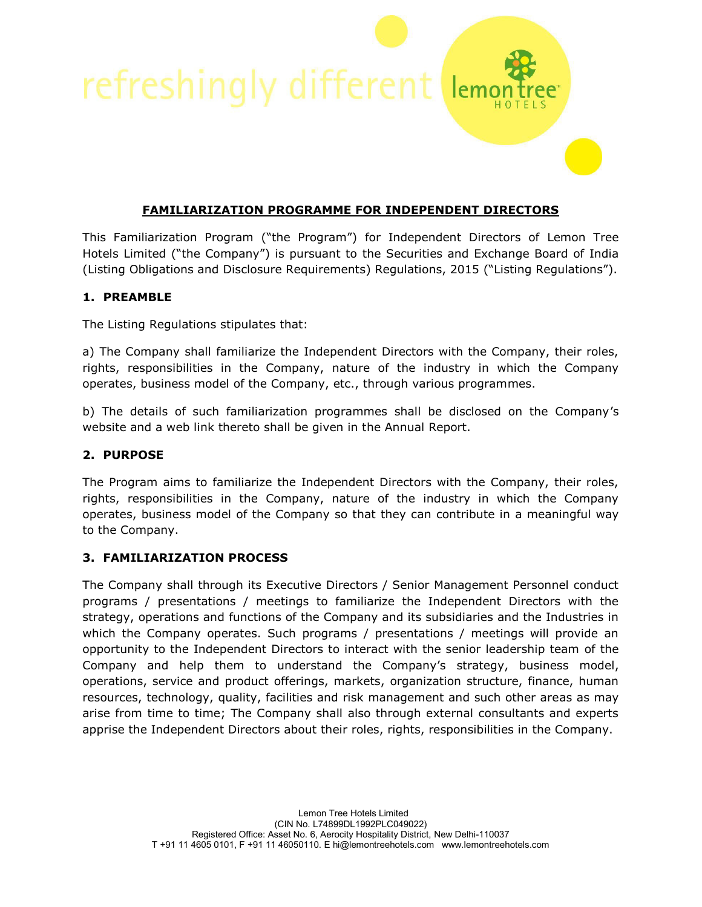refreshingly different

## **FAMILIARIZATION PROGRAMME FOR INDEPENDENT DIRECTORS**

 $lem<sub>0</sub>$ 

This Familiarization Program ("the Program") for Independent Directors of Lemon Tree Hotels Limited ("the Company") is pursuant to the Securities and Exchange Board of India (Listing Obligations and Disclosure Requirements) Regulations, 2015 ("Listing Regulations").

## **1. PREAMBLE**

The Listing Regulations stipulates that:

a) The Company shall familiarize the Independent Directors with the Company, their roles, rights, responsibilities in the Company, nature of the industry in which the Company operates, business model of the Company, etc., through various programmes.

b) The details of such familiarization programmes shall be disclosed on the Company's website and a web link thereto shall be given in the Annual Report.

## **2. PURPOSE**

The Program aims to familiarize the Independent Directors with the Company, their roles, rights, responsibilities in the Company, nature of the industry in which the Company operates, business model of the Company so that they can contribute in a meaningful way to the Company.

## **3. FAMILIARIZATION PROCESS**

The Company shall through its Executive Directors / Senior Management Personnel conduct programs / presentations / meetings to familiarize the Independent Directors with the strategy, operations and functions of the Company and its subsidiaries and the Industries in which the Company operates. Such programs / presentations / meetings will provide an opportunity to the Independent Directors to interact with the senior leadership team of the Company and help them to understand the Company's strategy, business model, operations, service and product offerings, markets, organization structure, finance, human resources, technology, quality, facilities and risk management and such other areas as may arise from time to time; The Company shall also through external consultants and experts apprise the Independent Directors about their roles, rights, responsibilities in the Company.